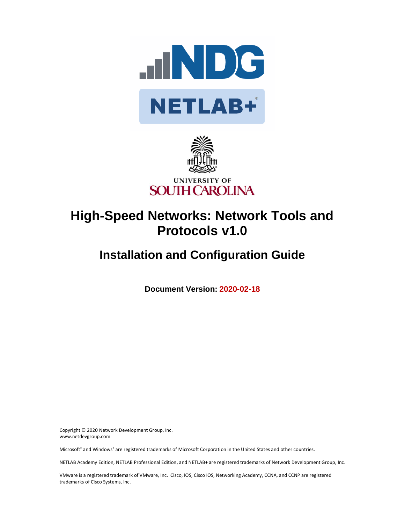



# **High-Speed Networks: Network Tools and Protocols v1.0**

# **Installation and Configuration Guide**

**Document Version: 2020-02-18**

Copyright © 2020 Network Development Group, Inc. www.netdevgroup.com

Microsoft® and Windows® are registered trademarks of Microsoft Corporation in the United States and other countries.

NETLAB Academy Edition, NETLAB Professional Edition, and NETLAB+ are registered trademarks of Network Development Group, Inc.

VMware is a registered trademark of VMware, Inc. Cisco, IOS, Cisco IOS, Networking Academy, CCNA, and CCNP are registered trademarks of Cisco Systems, Inc.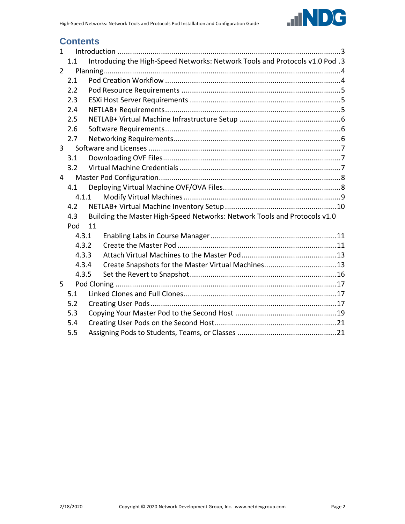

# **Contents**

| $\mathbf{1}$   |       |    |                                                                              |  |
|----------------|-------|----|------------------------------------------------------------------------------|--|
|                | 1.1   |    | Introducing the High-Speed Networks: Network Tools and Protocols v1.0 Pod .3 |  |
| $\overline{2}$ |       |    |                                                                              |  |
|                | 2.1   |    |                                                                              |  |
|                | 2.2   |    |                                                                              |  |
|                | 2.3   |    |                                                                              |  |
|                | 2.4   |    |                                                                              |  |
|                | 2.5   |    |                                                                              |  |
|                | 2.6   |    |                                                                              |  |
|                | 2.7   |    |                                                                              |  |
| $\overline{3}$ |       |    |                                                                              |  |
|                | 3.1   |    |                                                                              |  |
|                | 3.2   |    |                                                                              |  |
| 4              |       |    |                                                                              |  |
|                | 4.1   |    |                                                                              |  |
|                | 4.1.1 |    |                                                                              |  |
|                | 4.2   |    |                                                                              |  |
|                | 4.3   |    | Building the Master High-Speed Networks: Network Tools and Protocols v1.0    |  |
|                | Pod   | 11 |                                                                              |  |
|                | 4.3.1 |    |                                                                              |  |
|                | 4.3.2 |    |                                                                              |  |
|                | 4.3.3 |    |                                                                              |  |
|                | 4.3.4 |    |                                                                              |  |
|                | 4.3.5 |    |                                                                              |  |
| 5              |       |    |                                                                              |  |
|                | 5.1   |    |                                                                              |  |
|                | 5.2   |    |                                                                              |  |
|                | 5.3   |    |                                                                              |  |
|                | 5.4   |    |                                                                              |  |
| 5.5            |       |    |                                                                              |  |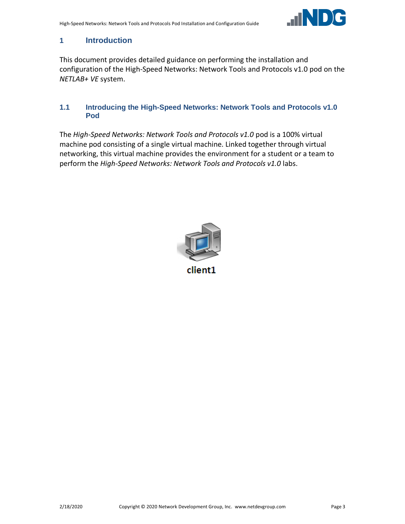

# <span id="page-2-0"></span>**1 Introduction**

This document provides detailed guidance on performing the installation and configuration of the High-Speed Networks: Network Tools and Protocols v1.0 pod on the *NETLAB+ VE* system.

#### <span id="page-2-1"></span>**1.1 Introducing the High-Speed Networks: Network Tools and Protocols v1.0 Pod**

The *High-Speed Networks: Network Tools and Protocols v1.0* pod is a 100% virtual machine pod consisting of a single virtual machine. Linked together through virtual networking, this virtual machine provides the environment for a student or a team to perform the *High-Speed Networks: Network Tools and Protocols v1.0* labs.



client1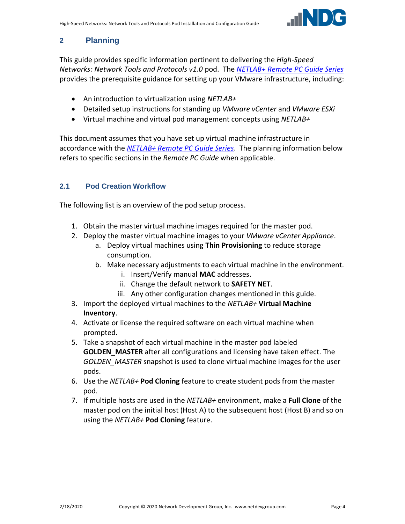

# <span id="page-3-0"></span>**2 Planning**

This guide provides specific information pertinent to delivering the *High-Speed Networks: Network Tools and Protocols v1.0* pod. The *[NETLAB+ Remote PC Guide Series](http://www.netdevgroup.com/support/documentation/netlabve/)* provides the prerequisite guidance for setting up your VMware infrastructure, including:

- An introduction to virtualization using *NETLAB+*
- Detailed setup instructions for standing up *VMware vCenter* and *VMware ESXi*
- Virtual machine and virtual pod management concepts using *NETLAB+*

This document assumes that you have set up virtual machine infrastructure in accordance with the *[NETLAB+ Remote PC Guide Series](http://www.netdevgroup.com/support/documentation/netlabve/)*. The planning information below refers to specific sections in the *Remote PC Guide* when applicable.

# <span id="page-3-1"></span>**2.1 Pod Creation Workflow**

The following list is an overview of the pod setup process.

- 1. Obtain the master virtual machine images required for the master pod.
- 2. Deploy the master virtual machine images to your *VMware vCenter Appliance*.
	- a. Deploy virtual machines using **Thin Provisioning** to reduce storage consumption.
	- b. Make necessary adjustments to each virtual machine in the environment.
		- i. Insert/Verify manual **MAC** addresses.
		- ii. Change the default network to **SAFETY NET**.
		- iii. Any other configuration changes mentioned in this guide.
- 3. Import the deployed virtual machines to the *NETLAB+* **Virtual Machine Inventory**.
- 4. Activate or license the required software on each virtual machine when prompted.
- 5. Take a snapshot of each virtual machine in the master pod labeled **GOLDEN\_MASTER** after all configurations and licensing have taken effect. The *GOLDEN\_MASTER* snapshot is used to clone virtual machine images for the user pods.
- 6. Use the *NETLAB+* **Pod Cloning** feature to create student pods from the master pod.
- 7. If multiple hosts are used in the *NETLAB+* environment, make a **Full Clone** of the master pod on the initial host (Host A) to the subsequent host (Host B) and so on using the *NETLAB+* **Pod Cloning** feature.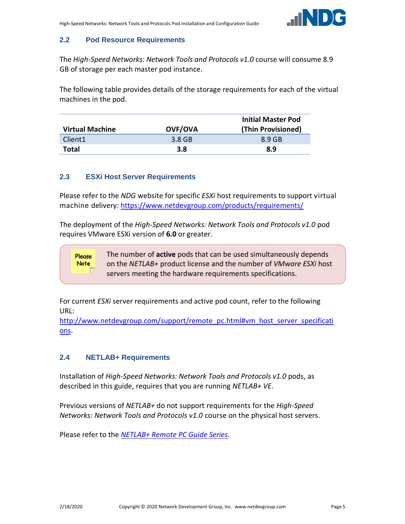

# <span id="page-4-0"></span>**2.2 Pod Resource Requirements**

The *High-Speed Networks: Network Tools and Protocols v1.0* course will consume 8.9 GB of storage per each master pod instance.

The following table provides details of the storage requirements for each of the virtual machines in the pod.

| <b>Virtual Machine</b> | <b>OVF/OVA</b> | <b>Initial Master Pod</b><br>(Thin Provisioned) |
|------------------------|----------------|-------------------------------------------------|
| Client <sub>1</sub>    | 3.8 GB         | 8.9 GB                                          |
| Total                  | 3.8            | 8.9                                             |

#### <span id="page-4-1"></span>**2.3 ESXi Host Server Requirements**

Please refer to the *NDG* website for specific *ESXi* host requirements to support virtual machine delivery: <https://www.netdevgroup.com/products/requirements/>

The deployment of the *High-Speed Networks: Network Tools and Protocols v1.0* pod requires VMware ESXi version of **6.0** or greater.

> The number of **active** pods that can be used simultaneously depends on the *NETLAB+* product license and the number of *VMware ESXi* host servers meeting the hardware requirements specifications.

For current *ESXi* server requirements and active pod count, refer to the following URL:

[http://www.netdevgroup.com/support/remote\\_pc.html#vm\\_host\\_server\\_specificati](http://www.netdevgroup.com/support/remote_pc.html#vm_host_server_specifications) [ons.](http://www.netdevgroup.com/support/remote_pc.html#vm_host_server_specifications)

#### <span id="page-4-2"></span>**2.4 NETLAB+ Requirements**

Please **Note** 

Installation of *High-Speed Networks: Network Tools and Protocols v1.0* pods, as described in this guide, requires that you are running *NETLAB+ VE*.

Previous versions of *NETLAB+* do not support requirements for the *High-Speed Networks: Network Tools and Protocols v1.0* course on the physical host servers.

Please refer to the *[NETLAB+ Remote PC Guide Series](https://www.netdevgroup.com/support/documentation/netlabve/)*.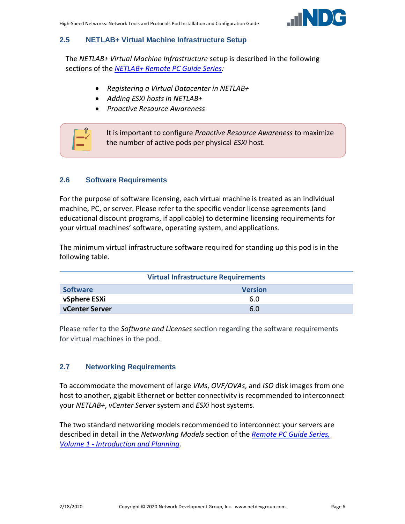

#### <span id="page-5-0"></span>**2.5 NETLAB+ Virtual Machine Infrastructure Setup**

The *NETLAB+ Virtual Machine Infrastructure* setup is described in the following sections of the *[NETLAB+ Remote PC Guide Series:](http://www.netdevgroup.com/support/documentation/netlabve/)*

- *Registering a Virtual Datacenter in NETLAB+*
- *Adding ESXi hosts in NETLAB+*
- *Proactive Resource Awareness*



#### <span id="page-5-1"></span>**2.6 Software Requirements**

For the purpose of software licensing, each virtual machine is treated as an individual machine, PC, or server. Please refer to the specific vendor license agreements (and educational discount programs, if applicable) to determine licensing requirements for your virtual machines' software, operating system, and applications.

The minimum virtual infrastructure software required for standing up this pod is in the following table.

| <b>Virtual Infrastructure Requirements</b> |                |  |  |
|--------------------------------------------|----------------|--|--|
| <b>Software</b>                            | <b>Version</b> |  |  |
| vSphere ESXi                               | 6.0            |  |  |
| <b>vCenter Server</b>                      | 6.0            |  |  |

Please refer to the *Software and Licenses* section regarding the software requirements for virtual machines in the pod.

#### <span id="page-5-2"></span>**2.7 Networking Requirements**

To accommodate the movement of large *VMs*, *OVF/OVAs*, and *ISO* disk images from one host to another, gigabit Ethernet or better connectivity is recommended to interconnect your *NETLAB+*, *vCenter Server* system and *ESXi* host systems.

The two standard networking models recommended to interconnect your servers are described in detail in the *Networking Models* section of the *[Remote PC Guide Series,](http://www.netdevgroup.com/support/documentation/NETLAB_Remote_PC_Guide_Vol_1_Introduction.pdf)  Volume 1 - [Introduction and Planning.](http://www.netdevgroup.com/support/documentation/NETLAB_Remote_PC_Guide_Vol_1_Introduction.pdf)*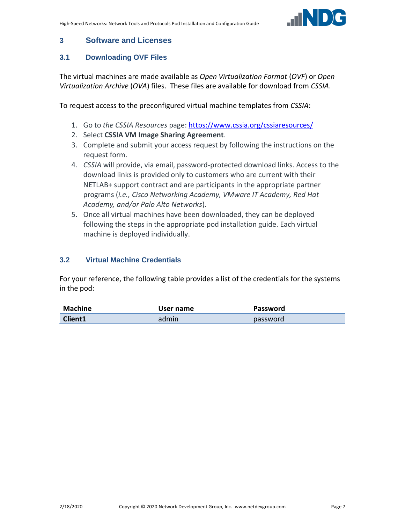

# <span id="page-6-0"></span>**3 Software and Licenses**

# <span id="page-6-1"></span>**3.1 Downloading OVF Files**

The virtual machines are made available as *Open Virtualization Format* (*OVF*) or *Open Virtualization Archive* (*OVA*) files. These files are available for download from *CSSIA*.

To request access to the preconfigured virtual machine templates from *CSSIA*:

- 1. Go to *the CSSIA Resources* page: <https://www.cssia.org/cssiaresources/>
- 2. Select **CSSIA VM Image Sharing Agreement**.
- 3. Complete and submit your access request by following the instructions on the request form.
- 4. *CSSIA* will provide, via email, password-protected download links. Access to the download links is provided only to customers who are current with their NETLAB+ support contract and are participants in the appropriate partner programs (*i.e., Cisco Networking Academy, VMware IT Academy, Red Hat Academy, and/or Palo Alto Networks*).
- 5. Once all virtual machines have been downloaded, they can be deployed following the steps in the appropriate pod installation guide. Each virtual machine is deployed individually.

# <span id="page-6-2"></span>**3.2 Virtual Machine Credentials**

For your reference, the following table provides a list of the credentials for the systems in the pod:

| Machine        | User name | Password |  |
|----------------|-----------|----------|--|
| <b>Client1</b> | admin     | password |  |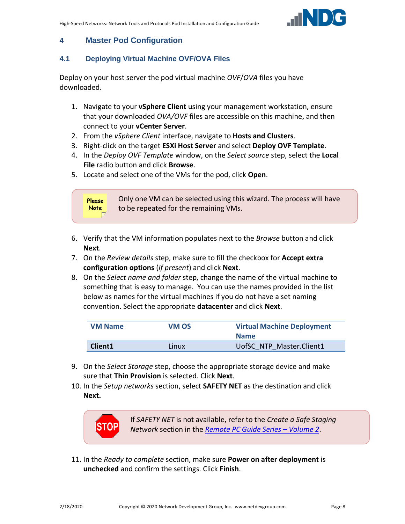

# <span id="page-7-0"></span>**4 Master Pod Configuration**

#### <span id="page-7-1"></span>**4.1 Deploying Virtual Machine OVF/OVA Files**

Deploy on your host server the pod virtual machine *OVF*/*OVA* files you have downloaded.

- 1. Navigate to your **vSphere Client** using your management workstation, ensure that your downloaded *OVA/OVF* files are accessible on this machine, and then connect to your **vCenter Server**.
- 2. From the *vSphere Client* interface, navigate to **Hosts and Clusters**.
- 3. Right-click on the target **ESXi Host Server** and select **Deploy OVF Template**.
- 4. In the *Deploy OVF Template* window, on the *Select source* step, select the **Local File** radio button and click **Browse**.
- 5. Locate and select one of the VMs for the pod, click **Open**.



- 6. Verify that the VM information populates next to the *Browse* button and click **Next**.
- 7. On the *Review details* step, make sure to fill the checkbox for **Accept extra configuration options** (*if present*) and click **Next**.
- 8. On the *Select name and folder* step, change the name of the virtual machine to something that is easy to manage. You can use the names provided in the list below as names for the virtual machines if you do not have a set naming convention. Select the appropriate **datacenter** and click **Next**.

| <b>VM Name</b> | VM OS | <b>Virtual Machine Deployment</b><br><b>Name</b> |
|----------------|-------|--------------------------------------------------|
| Client1        | Linux | UofSC NTP Master.Client1                         |

- 9. On the *Select Storage* step, choose the appropriate storage device and make sure that **Thin Provision** is selected. Click **Next**.
- 10. In the *Setup networks* section, select **SAFETY NET** as the destination and click **Next.**



If *SAFETY NET* is not available, refer to the *Create a Safe Staging Network* section in the *[Remote PC Guide Series](http://www.netdevgroup.com/support/documentation/NETLAB_Remote_PC_Guide_Vol_2_Installation.pdf) – Volume 2*.

11. In the *Ready to complete* section, make sure **Power on after deployment** is **unchecked** and confirm the settings. Click **Finish**.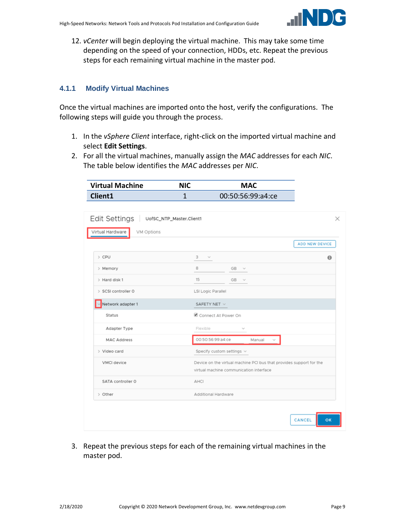

12. *vCenter* will begin deploying the virtual machine. This may take some time depending on the speed of your connection, HDDs, etc. Repeat the previous steps for each remaining virtual machine in the master pod.

#### <span id="page-8-0"></span>**4.1.1 Modify Virtual Machines**

Once the virtual machines are imported onto the host, verify the configurations. The following steps will guide you through the process.

- 1. In the *vSphere Client* interface, right-click on the imported virtual machine and select **Edit Settings**.
- 2. For all the virtual machines, manually assign the *MAC* addresses for each *NIC*. The table below identifies the *MAC* addresses per *NIC*.

|                                                         | $\mathbf{1}$        | 00:50:56:99:a4:ce                                                                                              |                |
|---------------------------------------------------------|---------------------|----------------------------------------------------------------------------------------------------------------|----------------|
| Edit Settings<br>UofSC_NTP_Master.Client1<br>VM Options |                     |                                                                                                                |                |
|                                                         |                     |                                                                                                                | ADD NEW DEVICE |
|                                                         | 3<br>$\sim$         |                                                                                                                | $\bullet$      |
|                                                         | 8                   | GB.<br>$\sim$                                                                                                  |                |
|                                                         | 15                  | GB -<br>$\sim$                                                                                                 |                |
| > SCSI controller 0                                     | LSI Logic Parallel  |                                                                                                                |                |
| Network adapter 1                                       | SAFETY NET $\vee$   |                                                                                                                |                |
|                                                         |                     | Connect At Power On                                                                                            |                |
| Adapter Type                                            | Flexible            | $\sim$                                                                                                         |                |
| <b>MAC Address</b>                                      | 00:50:56:99:a4:ce   | Manual                                                                                                         |                |
|                                                         |                     | Specify custom settings v                                                                                      |                |
|                                                         |                     | Device on the virtual machine PCI bus that provides support for the<br>virtual machine communication interface |                |
| SATA controller O                                       | AHCI                |                                                                                                                |                |
|                                                         | Additional Hardware |                                                                                                                |                |

3. Repeat the previous steps for each of the remaining virtual machines in the master pod.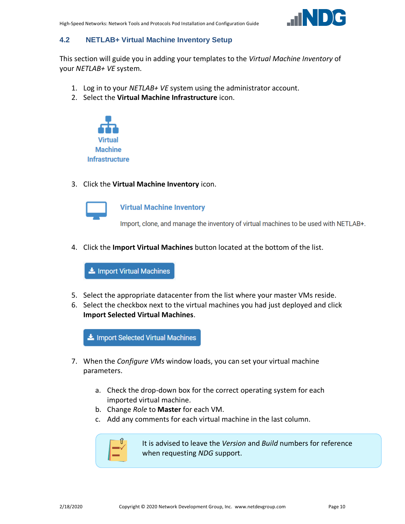

# <span id="page-9-0"></span>**4.2 NETLAB+ Virtual Machine Inventory Setup**

This section will guide you in adding your templates to the *Virtual Machine Inventory* of your *NETLAB+ VE* system.

- 1. Log in to your *NETLAB+ VE* system using the administrator account.
- 2. Select the **Virtual Machine Infrastructure** icon.



3. Click the **Virtual Machine Inventory** icon.



**Virtual Machine Inventory** 

Import, clone, and manage the inventory of virtual machines to be used with NETLAB+.

4. Click the **Import Virtual Machines** button located at the bottom of the list.

Import Virtual Machines

- 5. Select the appropriate datacenter from the list where your master VMs reside.
- 6. Select the checkbox next to the virtual machines you had just deployed and click **Import Selected Virtual Machines**.

Import Selected Virtual Machines

- 7. When the *Configure VMs* window loads, you can set your virtual machine parameters.
	- a. Check the drop-down box for the correct operating system for each imported virtual machine.
	- b. Change *Role* to **Master** for each VM.
	- c. Add any comments for each virtual machine in the last column.



It is advised to leave the *Version* and *Build* numbers for reference when requesting *NDG* support.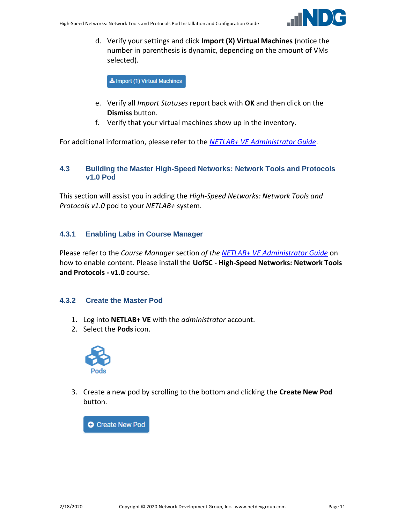

d. Verify your settings and click **Import (X) Virtual Machines** (notice the number in parenthesis is dynamic, depending on the amount of VMs selected).

Import (1) Virtual Machines

- e. Verify all *Import Statuses* report back with **OK** and then click on the **Dismiss** button.
- f. Verify that your virtual machines show up in the inventory.

For additional information, please refer to the *[NETLAB+ VE Administrator Guide](http://www.netdevgroup.com/support/documentation/netlabve/netlabve_administrator_guide.pdf#nameddest=virtual_machine_infrastructure)*.

#### <span id="page-10-0"></span>**4.3 Building the Master High-Speed Networks: Network Tools and Protocols v1.0 Pod**

This section will assist you in adding the *High-Speed Networks: Network Tools and Protocols v1.0* pod to your *NETLAB+* system.

#### <span id="page-10-1"></span>**4.3.1 Enabling Labs in Course Manager**

Please refer to the *Course Manager* section *of the [NETLAB+ VE Administrator Guide](https://www.netdevgroup.com/support/documentation/netlabve/netlabve_administrator_guide.pdf#nameddest=course_manager)* on how to enable content. Please install the **UofSC - High-Speed Networks: Network Tools and Protocols - v1.0** course.

#### <span id="page-10-2"></span>**4.3.2 Create the Master Pod**

- 1. Log into **NETLAB+ VE** with the *administrator* account.
- 2. Select the **Pods** icon.



3. Create a new pod by scrolling to the bottom and clicking the **Create New Pod** button.

**O** Create New Pod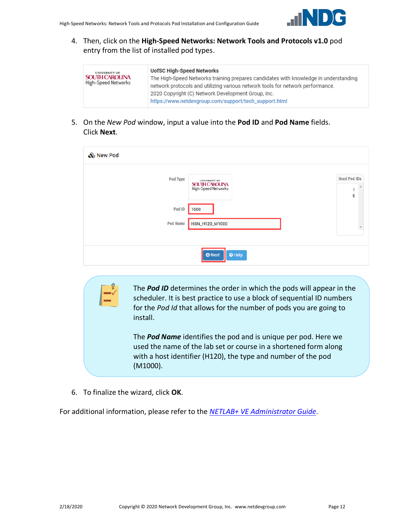

4. Then, click on the **High-Speed Networks: Network Tools and Protocols v1.0** pod entry from the list of installed pod types.

| <b>UNIVERSITY OF</b><br><b>SOUTH CAROLINA</b><br>High-Speed Networks | <b>UofSC High-Speed Networks</b><br>The High-Speed Networks training prepares candidates with knowledge in understanding<br>network protocols and utilizing various network tools for network performance.<br>2020 Copyright (C) Network Development Group, Inc.<br>https://www.netdevgroup.com/support/tech_support.html |
|----------------------------------------------------------------------|---------------------------------------------------------------------------------------------------------------------------------------------------------------------------------------------------------------------------------------------------------------------------------------------------------------------------|
|----------------------------------------------------------------------|---------------------------------------------------------------------------------------------------------------------------------------------------------------------------------------------------------------------------------------------------------------------------------------------------------------------------|

5. On the *New Pod* window, input a value into the **Pod ID** and **Pod Name** fields. Click **Next**.

| & New Pod       |                                              |                               |
|-----------------|----------------------------------------------|-------------------------------|
| Pod Type        | <b>SOUTH CAROLINA</b><br>High-Speed Networks | <b>Used Pod IDs</b><br>1<br>5 |
| Pod ID          | 1000                                         |                               |
| <b>Pod Name</b> | HSN_H120_M1000                               | $\overline{\phantom{a}}$      |
|                 |                                              |                               |
|                 | $\Theta$ Help<br><b>O</b> Next               |                               |

The *Pod ID* determines the order in which the pods will appear in the scheduler. It is best practice to use a block of sequential ID numbers for the *Pod Id* that allows for the number of pods you are going to install.

The *Pod Name* identifies the pod and is unique per pod. Here we used the name of the lab set or course in a shortened form along with a host identifier (H120), the type and number of the pod (M1000).

6. To finalize the wizard, click **OK**.

For additional information, please refer to the *NETLAB+ VE [Administrator Guide](http://www.netdevgroup.com/support/documentation/netlabve/netlabve_administrator_guide.pdf)*.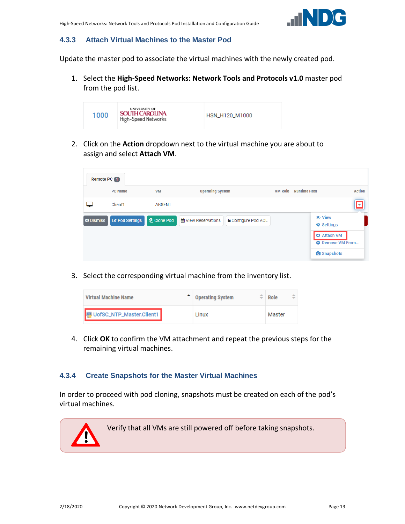

#### <span id="page-12-0"></span>**4.3.3 Attach Virtual Machines to the Master Pod**

Update the master pod to associate the virtual machines with the newly created pod.

1. Select the **High-Speed Networks: Network Tools and Protocols v1.0** master pod from the pod list.



2. Click on the **Action** dropdown next to the virtual machine you are about to assign and select **Attach VM**.

| Remote PC 1      |                       |                    |                                                     |                |                                                                                                                            |               |  |
|------------------|-----------------------|--------------------|-----------------------------------------------------|----------------|----------------------------------------------------------------------------------------------------------------------------|---------------|--|
|                  | <b>PC Name</b>        | <b>VM</b>          | <b>Operating System</b>                             | <b>VM Role</b> | <b>Runtime Host</b>                                                                                                        | <b>Action</b> |  |
|                  | Client1               | <b>ABSENT</b>      |                                                     |                |                                                                                                                            | Æ,            |  |
| <b>O</b> Dismiss | <b>Z</b> Pod Settings | <b>图 Clone Pod</b> | til View Reservations<br><b>△</b> Configure Pod ACL |                | <b> ⊙</b> View<br><b><math>\Phi</math></b> Settings<br><b>O</b> Attach VM<br><b>O</b> Remove VM From<br><b>O</b> Snapshots |               |  |

3. Select the corresponding virtual machine from the inventory list.

| <b>Virtual Machine Name</b>       |  | <b>Operating System</b> | ÷ | Role   |  |
|-----------------------------------|--|-------------------------|---|--------|--|
| <b>D</b> UofSC_NTP_Master.Client1 |  | Linux                   |   | Master |  |

4. Click **OK** to confirm the VM attachment and repeat the previous steps for the remaining virtual machines.

#### <span id="page-12-1"></span>**4.3.4 Create Snapshots for the Master Virtual Machines**

In order to proceed with pod cloning, snapshots must be created on each of the pod's virtual machines.

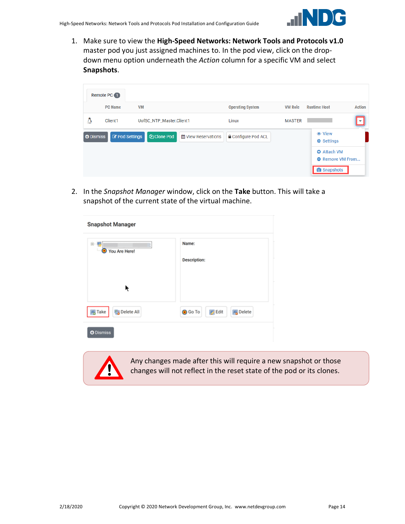

1. Make sure to view the **High-Speed Networks: Network Tools and Protocols v1.0** master pod you just assigned machines to. In the pod view, click on the dropdown menu option underneath the *Action* column for a specific VM and select **Snapshots**.

| <b>VM</b><br><b>PC Name</b>                                     | <b>Operating System</b>                                  | <b>VM Role</b> |                                      |
|-----------------------------------------------------------------|----------------------------------------------------------|----------------|--------------------------------------|
|                                                                 |                                                          |                | <b>Runtime Host</b><br><b>Action</b> |
| Δ<br>Client1<br>UofSC_NTP_Master.Client1                        | Linux                                                    | <b>MASTER</b>  |                                      |
| <b>Z</b> Pod Settings<br><b>图 Clone Pod</b><br><b>O</b> Dismiss | <b>≙</b> Configure Pod ACL<br><b>論 View Reservations</b> |                | <b> ⊙</b> View                       |
|                                                                 |                                                          |                | <b><math>\Phi</math></b> Settings    |
|                                                                 |                                                          |                | <b>O</b> Attach VM                   |
|                                                                 |                                                          |                | <b>O</b> Remove VM From              |

2. In the *Snapshot Manager* window, click on the **Take** button. This will take a snapshot of the current state of the virtual machine.

| <b>Snapshot Manager</b>                                   |                                                    |  |  |  |
|-----------------------------------------------------------|----------------------------------------------------|--|--|--|
| $\mathbf{B}$ - $\mathbf{B}$<br>You Are Here!<br>$\bullet$ | Name:<br><b>Description:</b>                       |  |  |  |
| ŕ                                                         |                                                    |  |  |  |
| Delete All<br><b>同</b> Take                               | <b>O</b> Go To<br><b>B</b> Edit<br><b>B</b> Delete |  |  |  |
| <b>O</b> Dismiss                                          |                                                    |  |  |  |



Any changes made after this will require a new snapshot or those changes will not reflect in the reset state of the pod or its clones.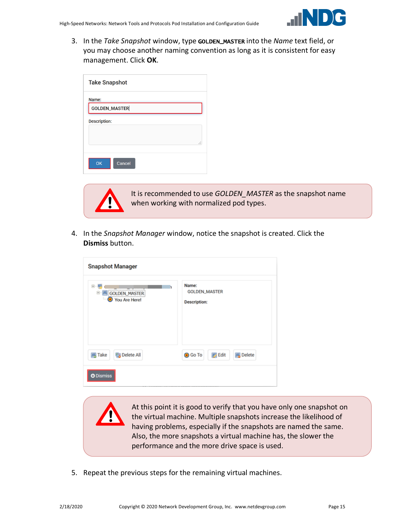

3. In the *Take Snapshot* window, type GOLDEN\_MASTER into the *Name* text field, or you may choose another naming convention as long as it is consistent for easy management. Click **OK**.

| <b>Take Snapshot</b> |   |
|----------------------|---|
| Name:                |   |
| <b>GOLDEN_MASTER</b> |   |
| <b>Description:</b>  |   |
|                      |   |
|                      | i |
| OK<br>Cancel         |   |



It is recommended to use *GOLDEN\_MASTER* as the snapshot name when working with normalized pod types.

4. In the *Snapshot Manager* window, notice the snapshot is created. Click the **Dismiss** button.

| <b>Snapshot Manager</b>                  |                                                      |
|------------------------------------------|------------------------------------------------------|
| e<br>GOLDEN_MASTER<br>e<br>You Are Here! | Name:<br><b>GOLDEN_MASTER</b><br><b>Description:</b> |
| Delete All<br><b>属 Take</b>              | <b>Edit</b><br><b>風</b> Delete<br><b>O</b> Go To     |
| <b>O</b> Dismiss                         |                                                      |

At this point it is good to verify that you have only one snapshot on the virtual machine. Multiple snapshots increase the likelihood of having problems, especially if the snapshots are named the same. Also, the more snapshots a virtual machine has, the slower the performance and the more drive space is used.

5. Repeat the previous steps for the remaining virtual machines.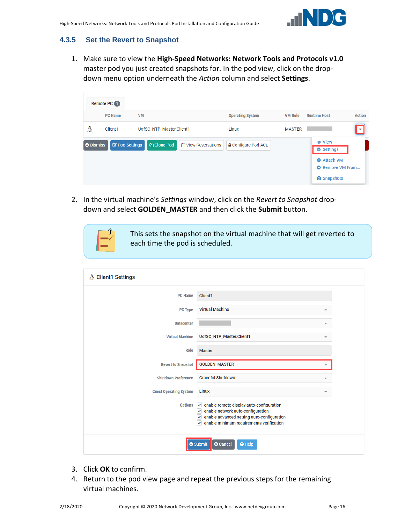

# <span id="page-15-0"></span>**4.3.5 Set the Revert to Snapshot**

1. Make sure to view the **High-Speed Networks: Network Tools and Protocols v1.0** master pod you just created snapshots for. In the pod view, click on the dropdown menu option underneath the *Action* column and select **Settings**.

|                  | Remote PC 1    |                           |                            |                            |                |                                               |                         |
|------------------|----------------|---------------------------|----------------------------|----------------------------|----------------|-----------------------------------------------|-------------------------|
|                  | <b>PC Name</b> | <b>VM</b>                 |                            | <b>Operating System</b>    | <b>VM Role</b> | <b>Runtime Host</b>                           | <b>Action</b>           |
| Δ                | Client1        | UofSC_NTP_Master.Client1  |                            | Linux                      | <b>MASTER</b>  |                                               | $\overline{\mathbf{v}}$ |
| <b>O</b> Dismiss | Pod Settings   | <b><i>C</i></b> Clone Pod | <b>簡 View Reservations</b> | <b>△</b> Configure Pod ACL |                | <b>Φ</b> Settings                             |                         |
|                  |                |                           |                            |                            |                | <b>O</b> Attach VM<br><b>O</b> Remove VM From |                         |
|                  |                |                           |                            |                            |                | <b>O</b> Snapshots                            |                         |

2. In the virtual machine's *Settings* window, click on the *Revert to Snapshot* dropdown and select **GOLDEN\_MASTER** and then click the **Submit** button.



This sets the snapshot on the virtual machine that will get reverted to each time the pod is scheduled.

| <b>Client1 Settings</b><br>A  |                                                                                                                                                                                                          |
|-------------------------------|----------------------------------------------------------------------------------------------------------------------------------------------------------------------------------------------------------|
| <b>PC Name</b>                | Client1                                                                                                                                                                                                  |
| <b>PC Type</b>                | <b>Virtual Machine</b><br>$\overline{\phantom{a}}$                                                                                                                                                       |
| <b>Datacenter</b>             | $\overline{\phantom{a}}$                                                                                                                                                                                 |
| <b>Virtual Machine</b>        | UofSC_NTP_Master.Client1                                                                                                                                                                                 |
| Role                          | <b>Master</b>                                                                                                                                                                                            |
| <b>Revert to Snapshot</b>     | <b>GOLDEN_MASTER</b><br>$\overline{\phantom{a}}$                                                                                                                                                         |
| <b>Shutdown Preference</b>    | <b>Graceful Shutdown</b><br>÷                                                                                                                                                                            |
| <b>Guest Operating System</b> | Linux<br>÷                                                                                                                                                                                               |
| <b>Options</b>                | $\vee$ enable remote display auto-configuration<br>enable network auto-configuration<br>٧<br>enable advanced setting auto-configuration<br>$\checkmark$<br>enable minimum requirements verification<br>v |
|                               | Submit<br><b>8</b> Cancel<br><b>O</b> Help                                                                                                                                                               |

- 3. Click **OK** to confirm.
- 4. Return to the pod view page and repeat the previous steps for the remaining virtual machines.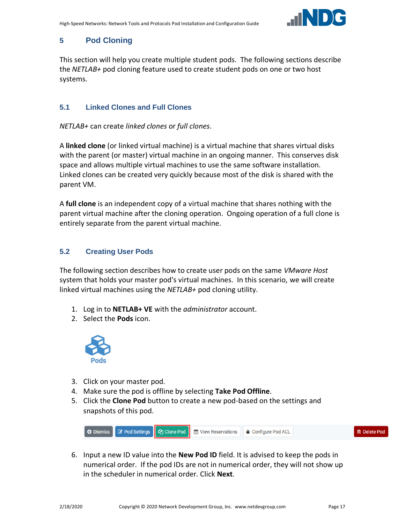

# <span id="page-16-0"></span>**5 Pod Cloning**

This section will help you create multiple student pods. The following sections describe the *NETLAB+* pod cloning feature used to create student pods on one or two host systems.

# <span id="page-16-1"></span>**5.1 Linked Clones and Full Clones**

*NETLAB+* can create *linked clones* or *full clones*.

A **linked clone** (or linked virtual machine) is a virtual machine that shares virtual disks with the parent (or master) virtual machine in an ongoing manner. This conserves disk space and allows multiple virtual machines to use the same software installation. Linked clones can be created very quickly because most of the disk is shared with the parent VM.

A **full clone** is an independent copy of a virtual machine that shares nothing with the parent virtual machine after the cloning operation. Ongoing operation of a full clone is entirely separate from the parent virtual machine.

# <span id="page-16-2"></span>**5.2 Creating User Pods**

The following section describes how to create user pods on the same *VMware Host* system that holds your master pod's virtual machines. In this scenario, we will create linked virtual machines using the *NETLAB+* pod cloning utility.

- 1. Log in to **NETLAB+ VE** with the *administrator* account.
- 2. Select the **Pods** icon.



- 3. Click on your master pod.
- 4. Make sure the pod is offline by selecting **Take Pod Offline**.
- 5. Click the **Clone Pod** button to create a new pod-based on the settings and snapshots of this pod.



6. Input a new ID value into the **New Pod ID** field. It is advised to keep the pods in numerical order. If the pod IDs are not in numerical order, they will not show up in the scheduler in numerical order. Click **Next**.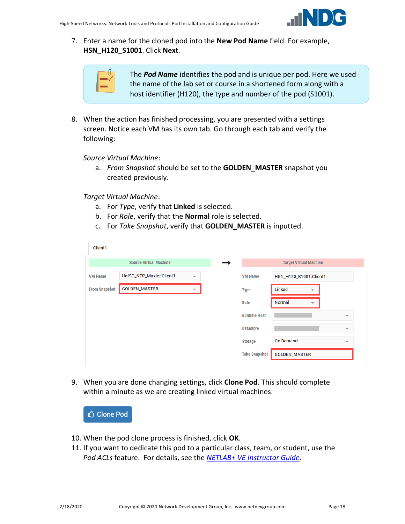

7. Enter a name for the cloned pod into the **New Pod Name** field. For example, **HSN\_H120\_S1001**. Click **Next**.

| ń<br>⌒<br>ı |
|-------------|
|             |
|             |
|             |

The *Pod Name* identifies the pod and is unique per pod. Here we used the name of the lab set or course in a shortened form along with a host identifier (H120), the type and number of the pod (S1001).

8. When the action has finished processing, you are presented with a settings screen. Notice each VM has its own tab. Go through each tab and verify the following:

*Source Virtual Machine*:

a. *From Snapshot* should be set to the **GOLDEN\_MASTER** snapshot you created previously.

*Target Virtual Machine*:

- a. For *Type*, verify that **Linked** is selected.
- b. For *Role*, verify that the **Normal** role is selected.
- c. For *Take Snapshot*, verify that **GOLDEN\_MASTER** is inputted.

| Client <sub>1</sub>  |                               |                          |                      |                               |                          |
|----------------------|-------------------------------|--------------------------|----------------------|-------------------------------|--------------------------|
|                      | <b>Source Virtual Machine</b> |                          |                      | <b>Target Virtual Machine</b> |                          |
| <b>VM Name</b>       | UofSC_NTP_Master.Client1      | $\overline{\mathbf{v}}$  | <b>VM Name</b>       | HSN_H120_S1001.Client1        |                          |
| <b>From Snapshot</b> | <b>GOLDEN_MASTER</b>          | $\overline{\phantom{a}}$ | <b>Type</b>          | Linked                        |                          |
|                      |                               |                          | Role                 | <b>Normal</b><br>÷            |                          |
|                      |                               |                          | <b>Runtime Host</b>  |                               | $\overline{\phantom{a}}$ |
|                      |                               |                          | <b>Datastore</b>     |                               | $\overline{\phantom{a}}$ |
|                      |                               |                          | <b>Storage</b>       | <b>On Demand</b>              | $\overline{\phantom{a}}$ |
|                      |                               |                          | <b>Take Snapshot</b> | <b>GOLDEN_MASTER</b>          |                          |

9. When you are done changing settings, click **Clone Pod**. This should complete within a minute as we are creating linked virtual machines.



- 10. When the pod clone process is finished, click **OK**.
- 11. If you want to dedicate this pod to a particular class, team, or student, use the *Pod ACLs* feature. For details, see the *[NETLAB+ VE Instructor Guide.](http://www.netdevgroup.com/support/documentation/netlabve/netlabve_instructor_guide.pdf#nameddest=manage_pod_acls)*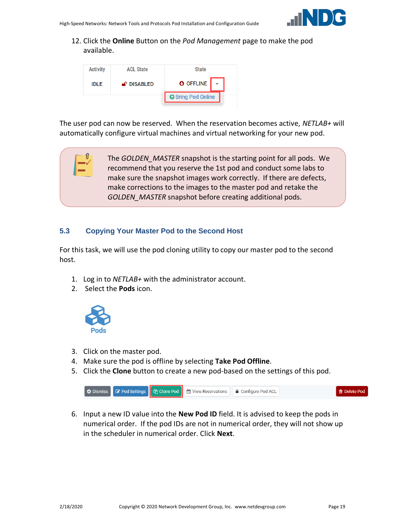

12. Click the **Online** Button on the *Pod Management* page to make the pod available.



The user pod can now be reserved. When the reservation becomes active, *NETLAB+* will automatically configure virtual machines and virtual networking for your new pod.

> The *GOLDEN\_MASTER* snapshot is the starting point for all pods. We recommend that you reserve the 1st pod and conduct some labs to make sure the snapshot images work correctly. If there are defects, make corrections to the images to the master pod and retake the *GOLDEN\_MASTER* snapshot before creating additional pods.

#### <span id="page-18-0"></span>**5.3 Copying Your Master Pod to the Second Host**

For this task, we will use the pod cloning utility to copy our master pod to the second host.

- 1. Log in to *NETLAB+* with the administrator account.
- 2. Select the **Pods** icon.



'ſf

- 3. Click on the master pod.
- 4. Make sure the pod is offline by selecting **Take Pod Offline**.
- 5. Click the **Clone** button to create a new pod-based on the settings of this pod.



6. Input a new ID value into the **New Pod ID** field. It is advised to keep the pods in numerical order. If the pod IDs are not in numerical order, they will not show up in the scheduler in numerical order. Click **Next**.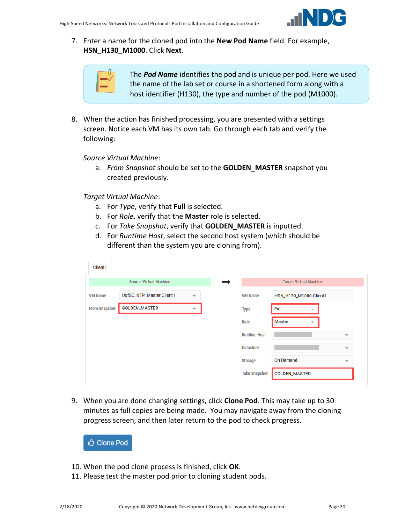

7. Enter a name for the cloned pod into the **New Pod Name** field. For example, **HSN\_H130\_M1000**. Click **Next**.

| $\hat{\P}$ |
|------------|
|            |
|            |
|            |

The *Pod Name* identifies the pod and is unique per pod. Here we used the name of the lab set or course in a shortened form along with a host identifier (H130), the type and number of the pod (M1000).

8. When the action has finished processing, you are presented with a settings screen. Notice each VM has its own tab. Go through each tab and verify the following:

*Source Virtual Machine*:

a. *From Snapshot* should be set to the **GOLDEN\_MASTER** snapshot you created previously.

*Target Virtual Machine*:

- a. For *Type*, verify that **Full** is selected.
- b. For *Role*, verify that the **Master** role is selected.
- c. For *Take Snapshot*, verify that **GOLDEN\_MASTER** is inputted.
- d. For *Runtime Host*, select the second host system (which should be different than the system you are cloning from).

| Client1              |                               |                          |                      |                                           |                          |
|----------------------|-------------------------------|--------------------------|----------------------|-------------------------------------------|--------------------------|
|                      | <b>Source Virtual Machine</b> |                          |                      | <b>Target Virtual Machine</b>             |                          |
| <b>VM Name</b>       | UofSC_NTP_Master.Client1      | $\overline{\phantom{a}}$ | <b>VM Name</b>       | HSN_H130_M1000.Client1                    |                          |
| <b>From Snapshot</b> | <b>GOLDEN_MASTER</b>          |                          | <b>Type</b>          | Full<br>$\overline{\phantom{a}}$          |                          |
|                      |                               |                          | Role                 | <b>Master</b><br>$\overline{\phantom{a}}$ |                          |
|                      |                               |                          | <b>Runtime Host</b>  |                                           | $\overline{\phantom{a}}$ |
|                      |                               |                          | <b>Datastore</b>     |                                           | $\overline{\phantom{a}}$ |
|                      |                               |                          | <b>Storage</b>       | <b>On Demand</b>                          | $\overline{\mathbf{v}}$  |
|                      |                               |                          | <b>Take Snapshot</b> | <b>GOLDEN_MASTER</b>                      |                          |

9. When you are done changing settings, click **Clone Pod**. This may take up to 30 minutes as full copies are being made. You may navigate away from the cloning progress screen, and then later return to the pod to check progress.



- 10. When the pod clone process is finished, click **OK**.
- 11. Please test the master pod prior to cloning student pods.